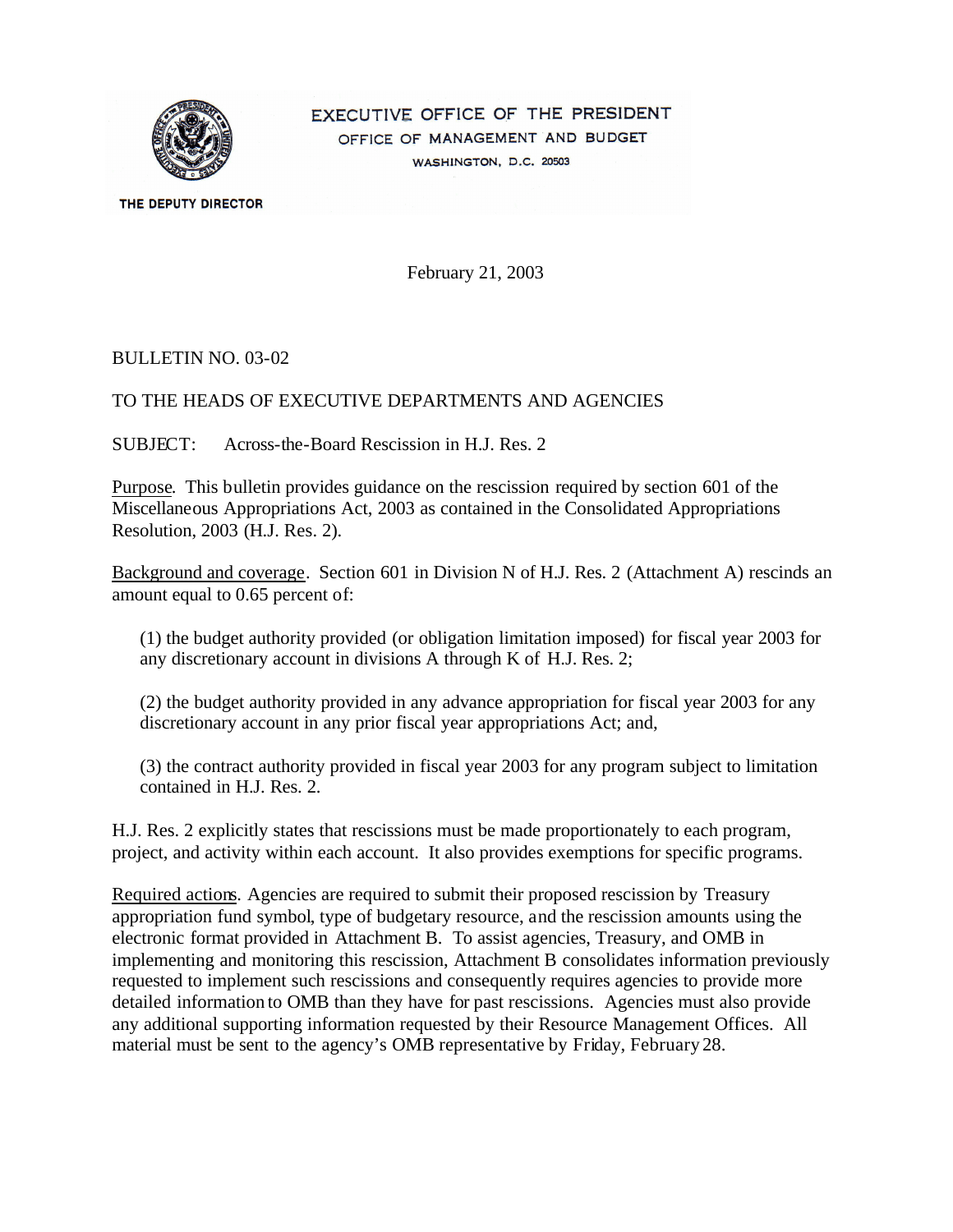

EXECUTIVE OFFICE OF THE PRESIDENT OFFICE OF MANAGEMENT AND BUDGET WASHINGTON, D.C. 20503

THE DEPUTY DIRECTOR

February 21, 2003

#### BULLETIN NO. 03-02

#### TO THE HEADS OF EXECUTIVE DEPARTMENTS AND AGENCIES

SUBJECT: Across-the-Board Rescission in H.J. Res. 2

Purpose. This bulletin provides guidance on the rescission required by section 601 of the Miscellaneous Appropriations Act, 2003 as contained in the Consolidated Appropriations Resolution, 2003 (H.J. Res. 2).

Background and coverage. Section 601 in Division N of H.J. Res. 2 (Attachment A) rescinds an amount equal to 0.65 percent of:

(1) the budget authority provided (or obligation limitation imposed) for fiscal year 2003 for any discretionary account in divisions A through K of H.J. Res. 2;

(2) the budget authority provided in any advance appropriation for fiscal year 2003 for any discretionary account in any prior fiscal year appropriations Act; and,

(3) the contract authority provided in fiscal year 2003 for any program subject to limitation contained in H.J. Res. 2.

H.J. Res. 2 explicitly states that rescissions must be made proportionately to each program, project, and activity within each account. It also provides exemptions for specific programs.

Required actions. Agencies are required to submit their proposed rescission by Treasury appropriation fund symbol, type of budgetary resource, and the rescission amounts using the electronic format provided in Attachment B. To assist agencies, Treasury, and OMB in implementing and monitoring this rescission, Attachment B consolidates information previously requested to implement such rescissions and consequently requires agencies to provide more detailed information to OMB than they have for past rescissions. Agencies must also provide any additional supporting information requested by their Resource Management Offices. All material must be sent to the agency's OMB representative by Friday, February 28.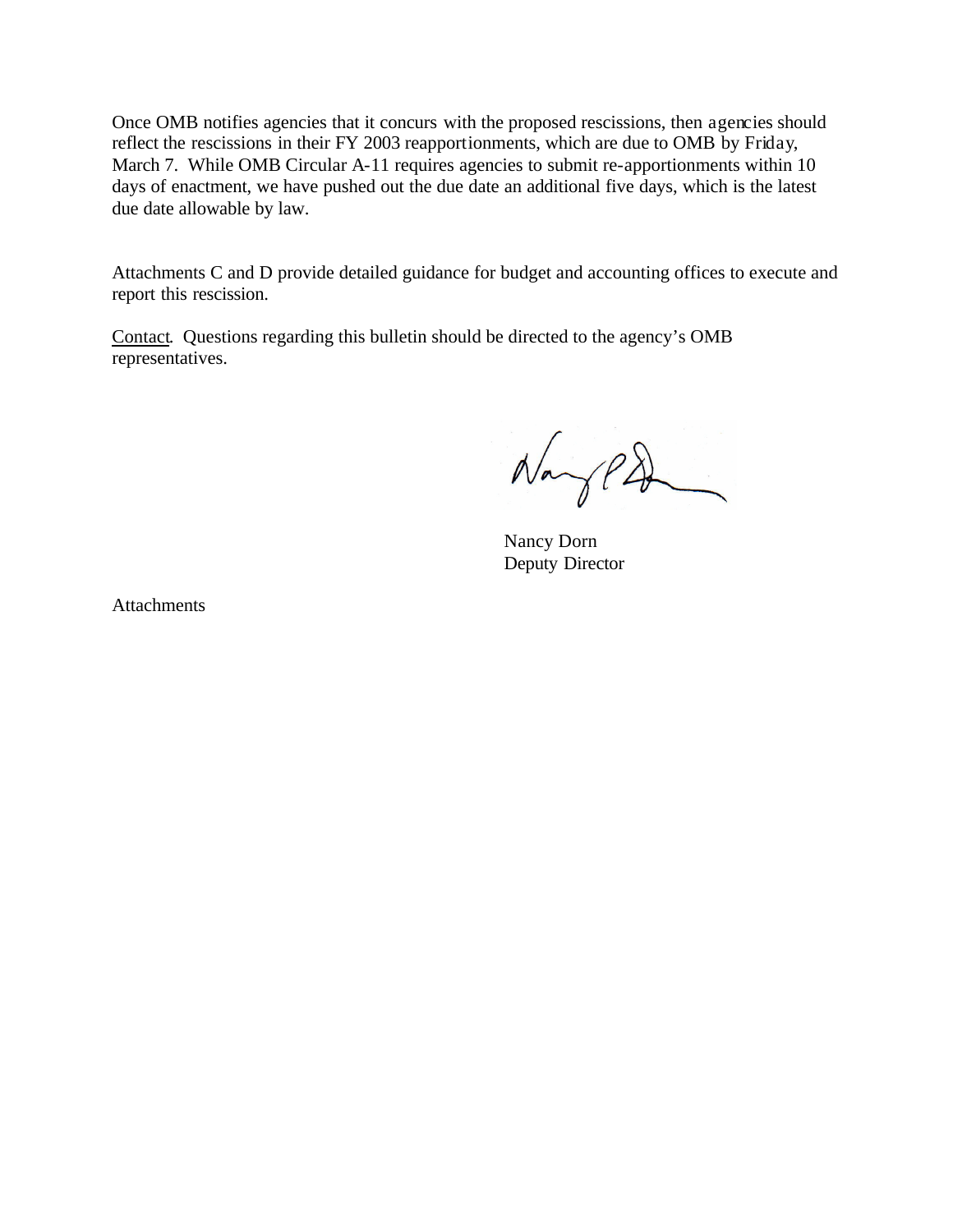Once OMB notifies agencies that it concurs with the proposed rescissions, then agencies should reflect the rescissions in their FY 2003 reapportionments, which are due to OMB by Friday, March 7. While OMB Circular A-11 requires agencies to submit re-apportionments within 10 days of enactment, we have pushed out the due date an additional five days, which is the latest due date allowable by law.

Attachments C and D provide detailed guidance for budget and accounting offices to execute and report this rescission.

Contact. Questions regarding this bulletin should be directed to the agency's OMB representatives.

 $N_{avg}PD$ 

Nancy Dorn Deputy Director

**Attachments**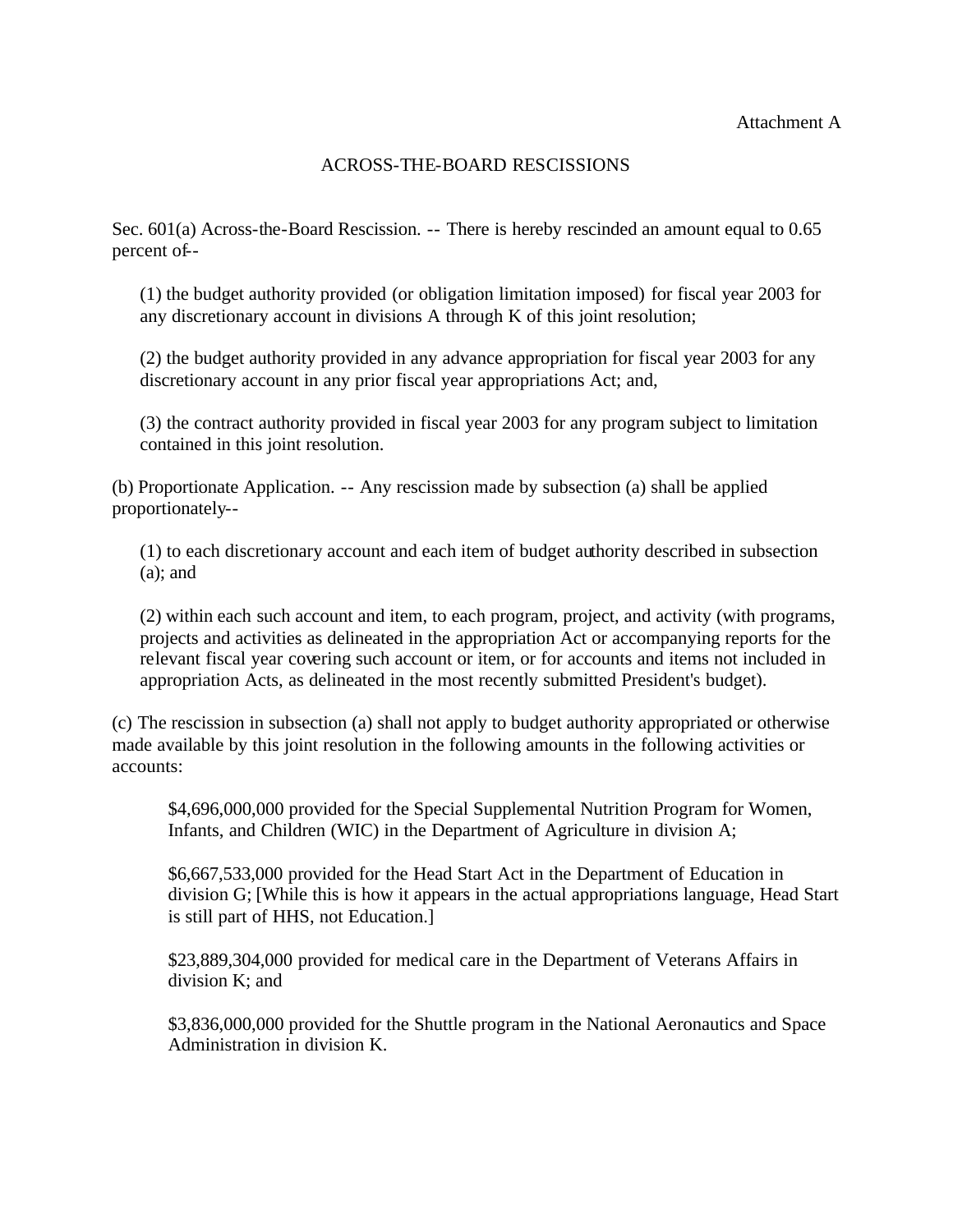# ACROSS-THE-BOARD RESCISSIONS

-- percent of Sec. 601(a) Across-the-Board Rescission. -- There is hereby rescinded an amount equal to 0.65

(1) the budget authority provided (or obligation limitation imposed) for fiscal year 2003 for any discretionary account in divisions A through K of this joint resolution;

(2) the budget authority provided in any advance appropriation for fiscal year 2003 for any discretionary account in any prior fiscal year appropriations Act; and,

(3) the contract authority provided in fiscal year 2003 for any program subject to limitation contained in this joint resolution.

(b) Proportionate Application. -- Any rescission made by subsection (a) shall be applied proportionately-

(1) to each discretionary account and each item of budget authority described in subsection  $(a)$ ; and

(2) within each such account and item, to each program, project, and activity (with programs, projects and activities as delineated in the appropriation Act or accompanying reports for the relevant fiscal year covering such account or item, or for accounts and items not included in appropriation Acts, as delineated in the most recently submitted President's budget).

(c) The rescission in subsection (a) shall not apply to budget authority appropriated or otherwise made available by this joint resolution in the following amounts in the following activities or accounts:

\$4,696,000,000 provided for the Special Supplemental Nutrition Program for Women, Infants, and Children (WIC) in the Department of Agriculture in division A;

\$6,667,533,000 provided for the Head Start Act in the Department of Education in division G; [While this is how it appears in the actual appropriations language, Head Start is still part of HHS, not Education.]

\$23,889,304,000 provided for medical care in the Department of Veterans Affairs in division K; and

\$3,836,000,000 provided for the Shuttle program in the National Aeronautics and Space Administration in division K.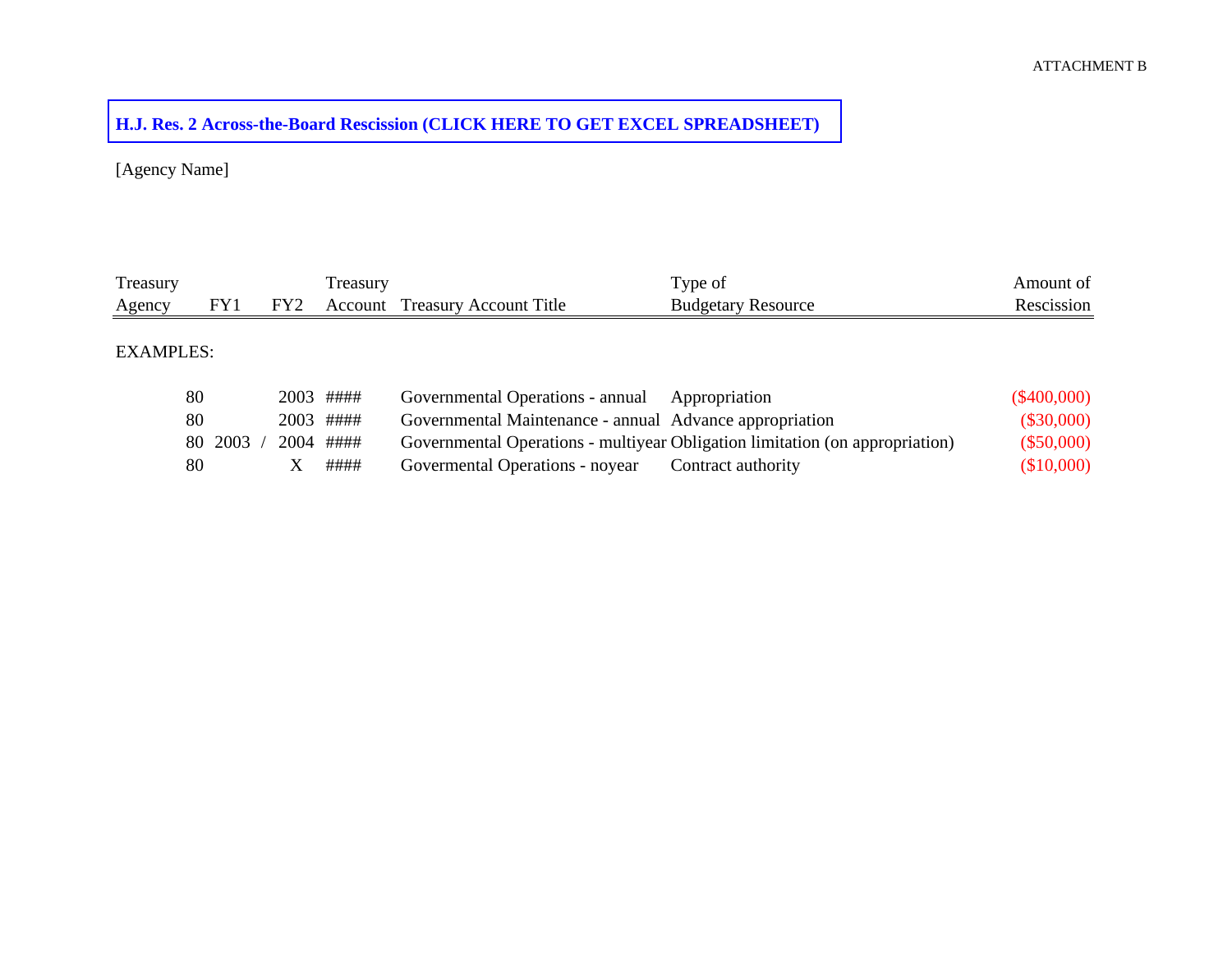# **[H.J. Res. 2 Across-the-Board Rescission \(CLICK HERE TO GET EXCEL SPREADSHEET\)](http://www.whitehouse.gov/omb/bulletins/03-02b.xls)**

[Agency Name]

| Treasury         |            |                 | Treasury  |                                                         | Type of                                                                      | Amount of     |
|------------------|------------|-----------------|-----------|---------------------------------------------------------|------------------------------------------------------------------------------|---------------|
| Agency           | FY1        | FY <sub>2</sub> | Account   | <b>Treasury Account Title</b>                           | <b>Budgetary Resource</b>                                                    | Rescission    |
|                  |            |                 |           |                                                         |                                                                              |               |
| <b>EXAMPLES:</b> |            |                 |           |                                                         |                                                                              |               |
|                  |            |                 |           |                                                         |                                                                              |               |
|                  | 80         | 2003            | ####      | Governmental Operations - annual                        | Appropriation                                                                | $(\$400,000)$ |
|                  | 80         |                 | 2003 #### | Governmental Maintenance - annual Advance appropriation |                                                                              | $(\$30,000)$  |
|                  | 2003<br>80 |                 | 2004 #### |                                                         | Governmental Operations - multiyear Obligation limitation (on appropriation) | $(\$50,000)$  |
|                  | 80         |                 | ####      | Governental Operations - noyear                         | Contract authority                                                           | (\$10,000)    |
|                  |            |                 |           |                                                         |                                                                              |               |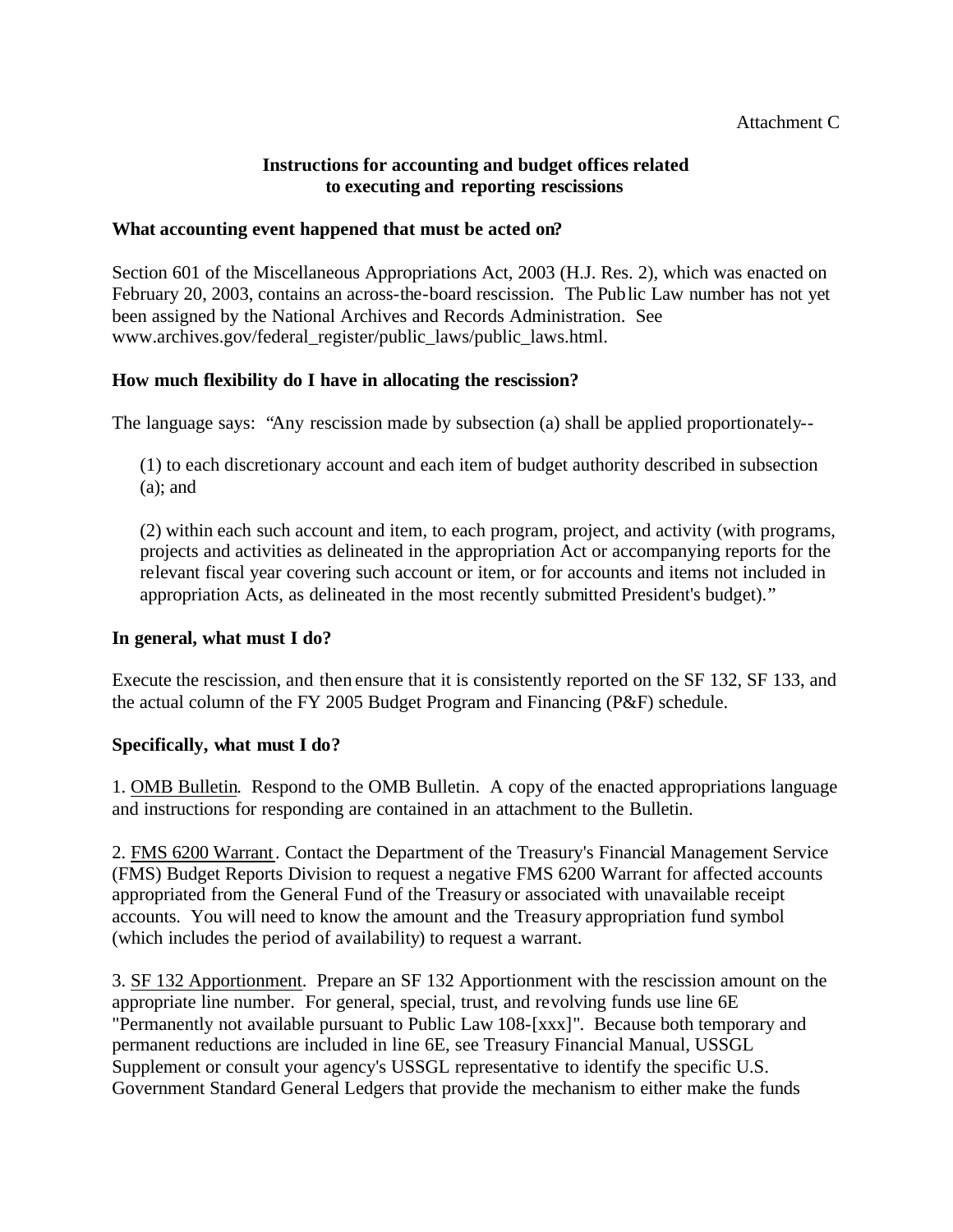## **Instructions for accounting and budget offices related to executing and reporting rescissions**

## **What accounting event happened that must be acted on?**

Section 601 of the Miscellaneous Appropriations Act, 2003 (H.J. Res. 2), which was enacted on February 20, 2003, contains an across-the-board rescission. The Public Law number has not yet been assigned by the National Archives and Records Administration. See www.archives.gov/federal\_register/public\_laws/public\_laws.html.

## **How much flexibility do I have in allocating the rescission?**

The language says: "Any rescission made by subsection (a) shall be applied proportionately-

(1) to each discretionary account and each item of budget authority described in subsection (a); and

(2) within each such account and item, to each program, project, and activity (with programs, projects and activities as delineated in the appropriation Act or accompanying reports for the relevant fiscal year covering such account or item, or for accounts and items not included in appropriation Acts, as delineated in the most recently submitted President's budget)."

## **In general, what must I do?**

Execute the rescission, and then ensure that it is consistently reported on the SF 132, SF 133, and the actual column of the FY 2005 Budget Program and Financing (P&F) schedule.

## **Specifically, what must I do?**

1. OMB Bulletin. Respond to the OMB Bulletin. A copy of the enacted appropriations language and instructions for responding are contained in an attachment to the Bulletin.

2. FMS 6200 Warrant . Contact the Department of the Treasury's Financial Management Service (FMS) Budget Reports Division to request a negative FMS 6200 Warrant for affected accounts appropriated from the General Fund of the Treasury or associated with unavailable receipt accounts. You will need to know the amount and the Treasury appropriation fund symbol (which includes the period of availability) to request a warrant.

3. SF 132 Apportionment. Prepare an SF 132 Apportionment with the rescission amount on the appropriate line number. For general, special, trust, and revolving funds use line 6E "Permanently not available pursuant to Public Law 108-[xxx]". Because both temporary and permanent reductions are included in line 6E, see Treasury Financial Manual, USSGL Supplement or consult your agency's USSGL representative to identify the specific U.S. Government Standard General Ledgers that provide the mechanism to either make the funds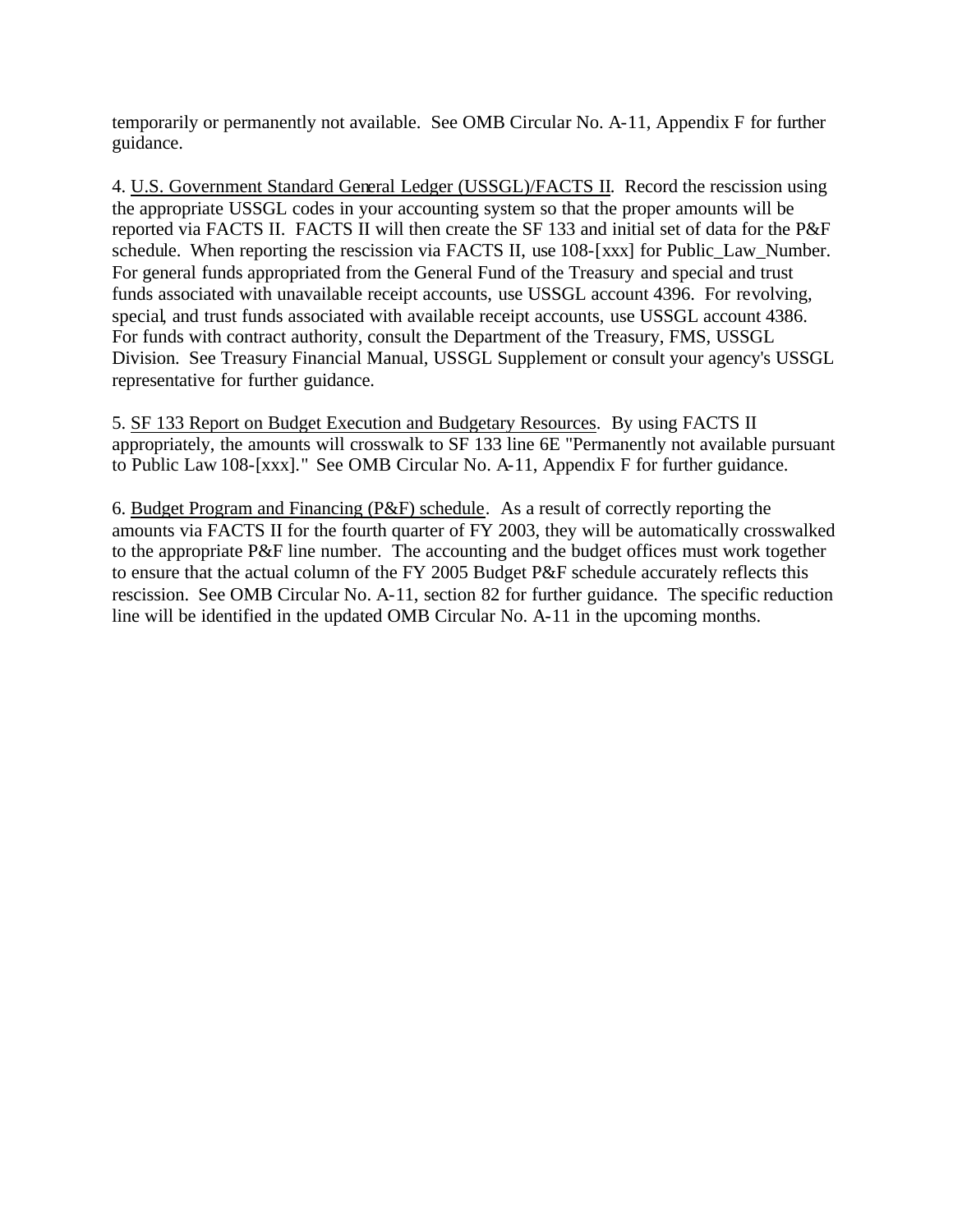temporarily or permanently not available. See OMB Circular No. A-11, Appendix F for further guidance.

4. U.S. Government Standard General Ledger (USSGL)/FACTS II. Record the rescission using the appropriate USSGL codes in your accounting system so that the proper amounts will be reported via FACTS II. FACTS II will then create the SF 133 and initial set of data for the P&F schedule. When reporting the rescission via FACTS II, use 108-[xxx] for Public\_Law\_Number. For general funds appropriated from the General Fund of the Treasury and special and trust funds associated with unavailable receipt accounts, use USSGL account 4396. For revolving, special, and trust funds associated with available receipt accounts, use USSGL account 4386. For funds with contract authority, consult the Department of the Treasury, FMS, USSGL Division. See Treasury Financial Manual, USSGL Supplement or consult your agency's USSGL representative for further guidance.

5. SF 133 Report on Budget Execution and Budgetary Resources. By using FACTS II appropriately, the amounts will crosswalk to SF 133 line 6E "Permanently not available pursuant to Public Law 108-[xxx]." See OMB Circular No. A-11, Appendix F for further guidance.

6. Budget Program and Financing (P&F) schedule. As a result of correctly reporting the amounts via FACTS II for the fourth quarter of FY 2003, they will be automatically crosswalked to the appropriate P&F line number. The accounting and the budget offices must work together to ensure that the actual column of the FY 2005 Budget P&F schedule accurately reflects this rescission. See OMB Circular No. A-11, section 82 for further guidance. The specific reduction line will be identified in the updated OMB Circular No. A-11 in the upcoming months.